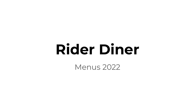## **Rider Diner**

Menus 2022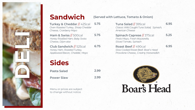

**Turkey & Cheddar** // 425cal *Oven Roasted Turkey, Sharp Cheddar Cheese, Cranberry Mayo*

**Ham & Swiss** // 500cal *Honey Roasted Ham, Baby Swiss Cheese, Dijon-aise*

**Club Sandwich** // 525cal *Honey Ham, Roasted Turkey, Applewood Bacon, Cheddar, Mayo*

**Sides**

**Pasta Salad 2.99 Power Slaw 2.99**

Menu or prices are subject to change without notice

#### **Sandwich (Served with Lettuce, Tomato & Onion)**

**5.75 Tuna Salad** // 395cal *Classic Wild Caught Tuna Salad, Spinach, American Cheese* **6.95**

**5.75 Spinach Caprese** // 375cal *Pesto Mayo, Fresh Mozzarella, Sliced Tomato, Spinach* **5.25 6.95**

**6.75 Roast Beef** // 490cal *Slow Cooked Roast Beef, Boar's Head Provolone Cheese, Creamy Horseradish*

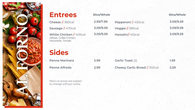

| <b>Entrees</b>                                                             | <b>Slice/Whole</b> |                                      | <b>Slice/Whole</b> |
|----------------------------------------------------------------------------|--------------------|--------------------------------------|--------------------|
| Cheese $//$ 360cal                                                         | 2.59/7.99          | Pepperoni // 450cal                  | 3.09/9.59          |
| Sausage // 470cal                                                          | 3.09/9.59          | Veggie // 385cal                     | 3.09/9.59          |
| White Chicken // 405cal<br>Alfredo, Grilled Chicken,<br>Mozzarella, Tomato | 3.09/9.59          | Hawaiin// 455cal                     | 3.09/9.59          |
| <b>Sides</b>                                                               |                    |                                      |                    |
| <b>Penne Marinara</b>                                                      | 2.99               | <b>Garlic Toast (2)</b>              | 1.59               |
| <b>Penne Alfredo</b>                                                       | 2.99               | <b>Cheesy Garlic Bread // 302cal</b> | 2.59               |
|                                                                            |                    |                                      |                    |

Menu or prices are subject to change without notice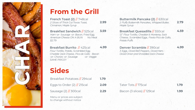

### **From the Grill**

**French Toast (2)** // 748cal *2 Slices of Thick Cut Texas Toast, Cinnamon, Maple Syrup*

**2.99**

**Breakfast Sandwich** // 525cal *Ham -or- Sausage -or- Bacon, Fried Egg, American Cheese ON A BUN No Meat \$2.79*

**Breakfast Burrito** // 425cal *Flour Tortilla, Potato, Scrambled Egg, Cheddar Jack Cheese, Pico de Gallo Bacon -or- Chorizo -or- Sausage -or- Veggie SAME PRICE!!*

**Sides**

to change without notice

| Breakfast Potatoes // 294cal  | .79  |                             |      |
|-------------------------------|------|-----------------------------|------|
| Eggs to Order $(2)$ // 215cal | 2.09 | Tater Tots // 175cal        | 1.79 |
| Sausage $(2)$ // 300cal       | 2.29 | Bacon (3 slices) // 129 cal | 1.99 |
| Menu or prices are subject    |      |                             |      |

**Buttermilk Pancake (2)** // 630cal *2 Fluffy Buttermilk Pancakes, Whipped Butter, Maple Syrup* **2.79**

**3.59 Breakfast Quesadilla** // 550cal *12" Flour Tortilla, Cheddar & Monterey Jack Cheese, Scrambled Eggs, Fiesta Pico de Gallo, Potato Puffs*

**4.99 Denver Scramble** // 390cal *3 Eggs, Diced Bell Peppers, Diced Ham, Diced Onion and Shredded Jack Cheese* **4.99**

**4.59**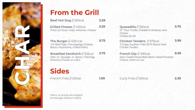

### **From the Grill**

| Beef Hot Dog // 505cal                                              | 2.59 |  |
|---------------------------------------------------------------------|------|--|
| Grilled Cheese // 420cal<br>Thick Cut Texas Toast, American, Cheese | 3.25 |  |
|                                                                     |      |  |

**The Burger** // 425+cal *¼# Beef Patty, Free toppings (Cheese, Bacon, Mushrooms, Grilled Onion)*

**Breakfast Sandwich** // 525cal *Ham -or- Sausage -or- Bacon, Fried Egg, American Cheese on a Bun*

**Sides**

French Fries // 531cal **1.99** Curly Fries // 555cal **2.39**

**3.25 Quesadilla** // 550cal

*Cheese* 

**3.75**

*12" Flour Tortilla, Cheddar & Monterey Jack Chicken \$4.59*

**5.75 Chicken Tenders** // 675cal *3 Crispy Southern Fried 100% Breast Meat Chicken Tenders*  **3.99**

**3.75 French Dip** // 490cal *Slow Cooked Roast Beef, Boar's Head Provolone Cheese, Warm Au Jus* **6.95**

Menu or prices are subject to change without notice